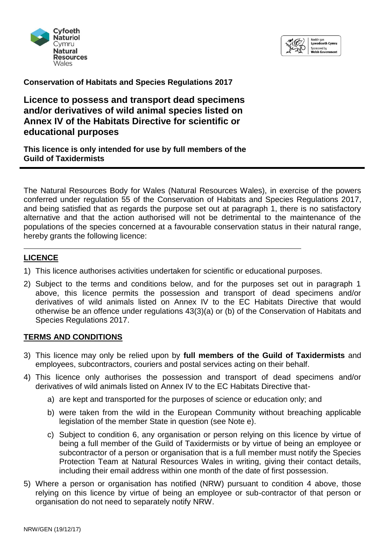



**Conservation of Habitats and Species Regulations 2017**

**Licence to possess and transport dead specimens and/or derivatives of wild animal species listed on Annex IV of the Habitats Directive for scientific or educational purposes** 

*This licence is only intended for use by full members of the Guild of Taxidermists*

The Natural Resources Body for Wales (Natural Resources Wales), in exercise of the powers conferred under regulation 55 of the Conservation of Habitats and Species Regulations 2017, and being satisfied that as regards the purpose set out at paragraph 1, there is no satisfactory alternative and that the action authorised will not be detrimental to the maintenance of the populations of the species concerned at a favourable conservation status in their natural range, hereby grants the following licence:

# **LICENCE**

- 1) This licence authorises activities undertaken for scientific or educational purposes.
- 2) Subject to the terms and conditions below, and for the purposes set out in paragraph 1 above, this licence permits the possession and transport of dead specimens and/or derivatives of wild animals listed on Annex IV to the EC Habitats Directive that would otherwise be an offence under regulations 43(3)(a) or (b) of the Conservation of Habitats and Species Regulations 2017.

#### **TERMS AND CONDITIONS**

- 3) This licence may only be relied upon by **full members of the Guild of Taxidermists** and employees, subcontractors, couriers and postal services acting on their behalf.
- 4) This licence only authorises the possession and transport of dead specimens and/or derivatives of wild animals listed on Annex IV to the EC Habitats Directive that
	- a) are kept and transported for the purposes of science or education only; and
	- b) were taken from the wild in the European Community without breaching applicable legislation of the member State in question (see Note e).
	- c) Subject to condition 6, any organisation or person relying on this licence by virtue of being a full member of the Guild of Taxidermists or by virtue of being an employee or subcontractor of a person or organisation that is a full member must notify the Species Protection Team at Natural Resources Wales in writing, giving their contact details, including their email address within one month of the date of first possession.
- 5) Where a person or organisation has notified (NRW) pursuant to condition 4 above, those relying on this licence by virtue of being an employee or sub-contractor of that person or organisation do not need to separately notify NRW.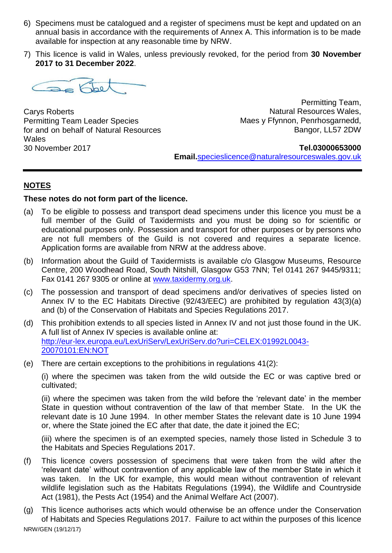- 6) Specimens must be catalogued and a register of specimens must be kept and updated on an annual basis in accordance with the requirements of Annex A. This information is to be made available for inspection at any reasonable time by NRW.
- 7) This licence is valid in Wales, unless previously revoked, for the period from **30 November 2017 to 31 December 2022**.



Carys Roberts Permitting Team Leader Species for and on behalf of Natural Resources **Wales** 30 November 2017

 Permitting Team, Natural Resources Wales, Maes y Ffynnon, Penrhosgarnedd, Bangor, LL57 2DW

#### **Tel.03000653000**

**Email.**[specieslicence@naturalresourceswales.gov.uk](mailto:specieslicence@naturalresouceswales.gov.uk) 

# **NOTES**

### **These notes do not form part of the licence.**

- (a) To be eligible to possess and transport dead specimens under this licence you must be a full member of the Guild of Taxidermists and you must be doing so for scientific or educational purposes only. Possession and transport for other purposes or by persons who are not full members of the Guild is not covered and requires a separate licence. Application forms are available from NRW at the address above.
- (b) Information about the Guild of Taxidermists is available c/o Glasgow Museums, Resource Centre, 200 Woodhead Road, South Nitshill, Glasgow G53 7NN; Tel 0141 267 9445/9311; Fax 0141 267 9305 or online at [www.taxidermy.org.uk.](http://www.taxidermy.org.uk/)
- (c) The possession and transport of dead specimens and/or derivatives of species listed on Annex IV to the EC Habitats Directive (92/43/EEC) are prohibited by regulation 43(3)(a) and (b) of the Conservation of Habitats and Species Regulations 2017.
- (d) This prohibition extends to all species listed in Annex IV and not just those found in the UK. A full list of Annex IV species is available online at: [http://eur-lex.europa.eu/LexUriServ/LexUriServ.do?uri=CELEX:01992L0043-](http://ec.europa.eu/environment/nature/nature_conservation/eu_enlargement/2004/habitats/annexiv_en.pdf) [20070101:EN:NOT](http://ec.europa.eu/environment/nature/nature_conservation/eu_enlargement/2004/habitats/annexiv_en.pdf)
- (e) There are certain exceptions to the prohibitions in regulations 41(2):

(i) where the specimen was taken from the wild outside the EC or was captive bred or cultivated;

(ii) where the specimen was taken from the wild before the 'relevant date' in the member State in question without contravention of the law of that member State. In the UK the relevant date is 10 June 1994. In other member States the relevant date is 10 June 1994 or, where the State joined the EC after that date, the date it joined the EC;

(iii) where the specimen is of an exempted species, namely those listed in Schedule 3 to the Habitats and Species Regulations 2017.

- (f) This licence covers possession of specimens that were taken from the wild after the 'relevant date' without contravention of any applicable law of the member State in which it was taken. In the UK for example, this would mean without contravention of relevant wildlife legislation such as the Habitats Regulations (1994), the Wildlife and Countryside Act (1981), the Pests Act (1954) and the Animal Welfare Act (2007).
- NRW/GEN (19/12/17) (g) This licence authorises acts which would otherwise be an offence under the Conservation of Habitats and Species Regulations 2017. Failure to act within the purposes of this licence